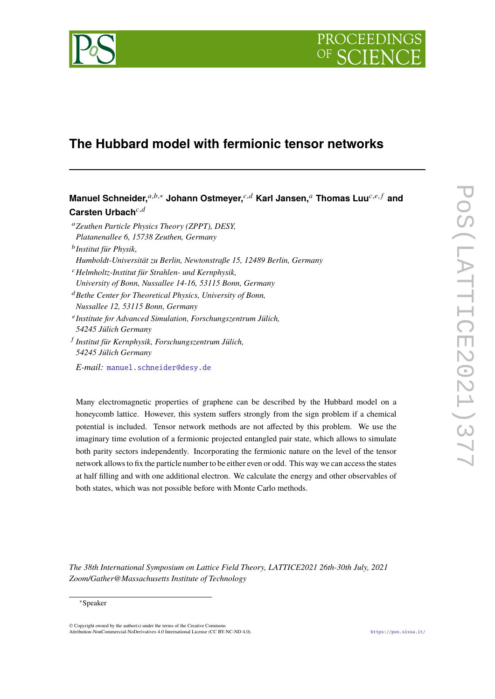

# **The Hubbard model with fermionic tensor networks**

Manuel Schneider,<sup>*a,b,∗*</sup> Johann Ostmeyer,<sup>*c,d*</sup> Karl Jansen,<sup>*a*</sup> Thomas Luu<sup>*c,e,f*</sup> and Carsten Urbach<sup>c,d</sup> <sup>𝑎</sup>*Zeuthen Particle Physics Theory (ZPPT), DESY, Platanenallee 6, 15738 Zeuthen, Germany*

𝑏 *Institut für Physik,*

- *Humboldt-Universität zu Berlin, Newtonstraße 15, 12489 Berlin, Germany*
- <sup>𝑐</sup>*Helmholtz-Institut für Strahlen- und Kernphysik,*
- *University of Bonn, Nussallee 14-16, 53115 Bonn, Germany*
- <sup>𝑑</sup>*Bethe Center for Theoretical Physics, University of Bonn,*
- *Nussallee 12, 53115 Bonn, Germany*
- 𝑒 *Institute for Advanced Simulation, Forschungszentrum Jülich, 54245 Jülich Germany* 𝑓 *Institut für Kernphysik, Forschungszentrum Jülich,*
- *54245 Jülich Germany*

*E-mail:* [manuel.schneider@desy.de](mailto:manuel.schneider@desy.de)

Many electromagnetic properties of graphene can be described by the Hubbard model on a honeycomb lattice. However, this system suffers strongly from the sign problem if a chemical potential is included. Tensor network methods are not affected by this problem. We use the imaginary time evolution of a fermionic projected entangled pair state, which allows to simulate both parity sectors independently. Incorporating the fermionic nature on the level of the tensor network allows to fix the particle number to be either even or odd. This way we can access the states at half filling and with one additional electron. We calculate the energy and other observables of both states, which was not possible before with Monte Carlo methods.

*The 38th International Symposium on Lattice Field Theory, LATTICE2021 26th-30th July, 2021 Zoom/Gather@Massachusetts Institute of Technology*

#### <sup>∗</sup>Speaker

© Copyright owned by the author(s) under the terms of the Creative Commons Attribution-NonCommercial-NoDerivatives 4.0 International License (CC BY-NC-ND 4.0). <https://pos.sissa.it/>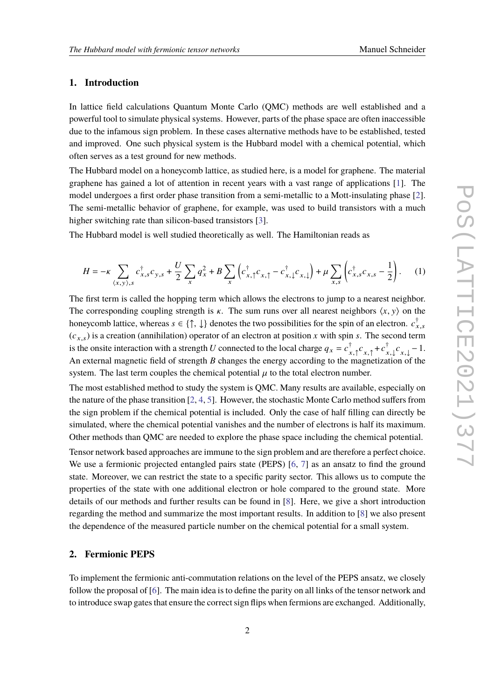### **1. Introduction**

In lattice field calculations Quantum Monte Carlo (QMC) methods are well established and a powerful tool to simulate physical systems. However, parts of the phase space are often inaccessible due to the infamous sign problem. In these cases alternative methods have to be established, tested and improved. One such physical system is the Hubbard model with a chemical potential, which often serves as a test ground for new methods.

The Hubbard model on a honeycomb lattice, as studied here, is a model for graphene. The material graphene has gained a lot of attention in recent years with a vast range of applications [\[1\]](#page-7-0). The model undergoes a first order phase transition from a semi-metallic to a Mott-insulating phase [\[2\]](#page-7-1). The semi-metallic behavior of graphene, for example, was used to build transistors with a much higher switching rate than silicon-based transistors [\[3\]](#page-7-2).

The Hubbard model is well studied theoretically as well. The Hamiltonian reads as

$$
H = -\kappa \sum_{\langle x, y \rangle, s} c_{x,s}^{\dagger} c_{y,s} + \frac{U}{2} \sum_{x} q_{x}^{2} + B \sum_{x} \left( c_{x,\uparrow}^{\dagger} c_{x,\uparrow} - c_{x,\downarrow}^{\dagger} c_{x,\downarrow} \right) + \mu \sum_{x,s} \left( c_{x,s}^{\dagger} c_{x,s} - \frac{1}{2} \right). \tag{1}
$$

The first term is called the hopping term which allows the electrons to jump to a nearest neighbor. The corresponding coupling strength is  $\kappa$ . The sum runs over all nearest neighbors  $\langle x, y \rangle$  on the honeycomb lattice, whereas  $s \in \{\uparrow, \downarrow\}$  denotes the two possibilities for the spin of an electron.  $c_{x,s}^{\dagger}$  $(c_{x,s})$  is a creation (annihilation) operator of an electron at position x with spin s. The second term is the onsite interaction with a strength U connected to the local charge  $q_x = c_{x,1}^{\dagger} c_{x,1} + c_{x,1}^{\dagger} c_{x,1} - 1$ . An external magnetic field of strength  $B$  changes the energy according to the magnetization of the system. The last term couples the chemical potential  $\mu$  to the total electron number.

The most established method to study the system is QMC. Many results are available, especially on the nature of the phase transition [\[2,](#page-7-1) [4,](#page-7-3) [5\]](#page-7-4). However, the stochastic Monte Carlo method suffers from the sign problem if the chemical potential is included. Only the case of half filling can directly be simulated, where the chemical potential vanishes and the number of electrons is half its maximum. Other methods than QMC are needed to explore the phase space including the chemical potential.

Tensor network based approaches are immune to the sign problem and are therefore a perfect choice. We use a fermionic projected entangled pairs state (PEPS) [\[6,](#page-7-5) [7\]](#page-7-6) as an ansatz to find the ground state. Moreover, we can restrict the state to a specific parity sector. This allows us to compute the properties of the state with one additional electron or hole compared to the ground state. More details of our methods and further results can be found in [\[8\]](#page-7-7). Here, we give a short introduction regarding the method and summarize the most important results. In addition to [\[8\]](#page-7-7) we also present the dependence of the measured particle number on the chemical potential for a small system.

## **2. Fermionic PEPS**

To implement the fermionic anti-commutation relations on the level of the PEPS ansatz, we closely follow the proposal of [\[6\]](#page-7-5). The main idea is to define the parity on all links of the tensor network and to introduce swap gates that ensure the correct sign flips when fermions are exchanged. Additionally,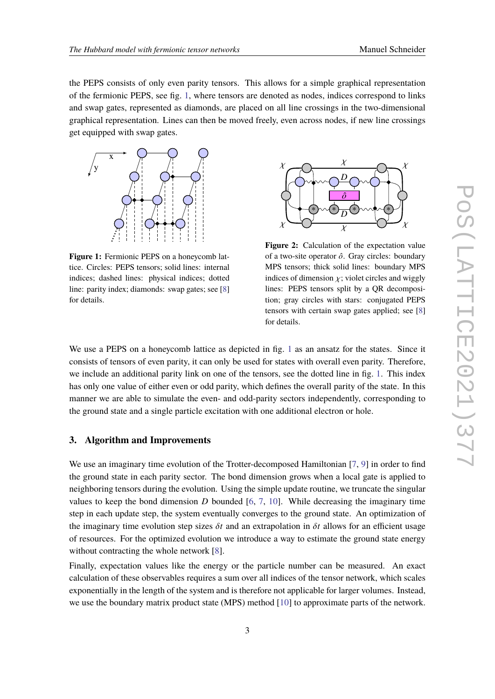the PEPS consists of only even parity tensors. This allows for a simple graphical representation of the fermionic PEPS, see fig. [1,](#page-2-0) where tensors are denoted as nodes, indices correspond to links and swap gates, represented as diamonds, are placed on all line crossings in the two-dimensional graphical representation. Lines can then be moved freely, even across nodes, if new line crossings get equipped with swap gates.

<span id="page-2-0"></span>

**Figure 1:** Fermionic PEPS on a honeycomb lattice. Circles: PEPS tensors; solid lines: internal indices; dashed lines: physical indices; dotted line: parity index; diamonds: swap gates; see [\[8\]](#page-7-7) for details.



**Figure 2:** Calculation of the expectation value of a two-site operator  $\hat{o}$ . Gray circles: boundary MPS tensors; thick solid lines: boundary MPS indices of dimension  $\chi$ ; violet circles and wiggly lines: PEPS tensors split by a QR decomposition; gray circles with stars: conjugated PEPS tensors with certain swap gates applied; see [\[8\]](#page-7-7) for details.

We use a PEPS on a honeycomb lattice as depicted in fig. [1](#page-2-0) as an ansatz for the states. Since it consists of tensors of even parity, it can only be used for states with overall even parity. Therefore, we include an additional parity link on one of the tensors, see the dotted line in fig. [1.](#page-2-0) This index has only one value of either even or odd parity, which defines the overall parity of the state. In this manner we are able to simulate the even- and odd-parity sectors independently, corresponding to the ground state and a single particle excitation with one additional electron or hole.

## **3. Algorithm and Improvements**

We use an imaginary time evolution of the Trotter-decomposed Hamiltonian [\[7,](#page-7-6) [9\]](#page-8-0) in order to find the ground state in each parity sector. The bond dimension grows when a local gate is applied to neighboring tensors during the evolution. Using the simple update routine, we truncate the singular values to keep the bond dimension  $D$  bounded [\[6,](#page-7-5) [7,](#page-7-6) [10\]](#page-8-1). While decreasing the imaginary time step in each update step, the system eventually converges to the ground state. An optimization of the imaginary time evolution step sizes  $\delta t$  and an extrapolation in  $\delta t$  allows for an efficient usage of resources. For the optimized evolution we introduce a way to estimate the ground state energy without contracting the whole network [\[8\]](#page-7-7).

Finally, expectation values like the energy or the particle number can be measured. An exact calculation of these observables requires a sum over all indices of the tensor network, which scales exponentially in the length of the system and is therefore not applicable for larger volumes. Instead, we use the boundary matrix product state (MPS) method [\[10\]](#page-8-1) to approximate parts of the network.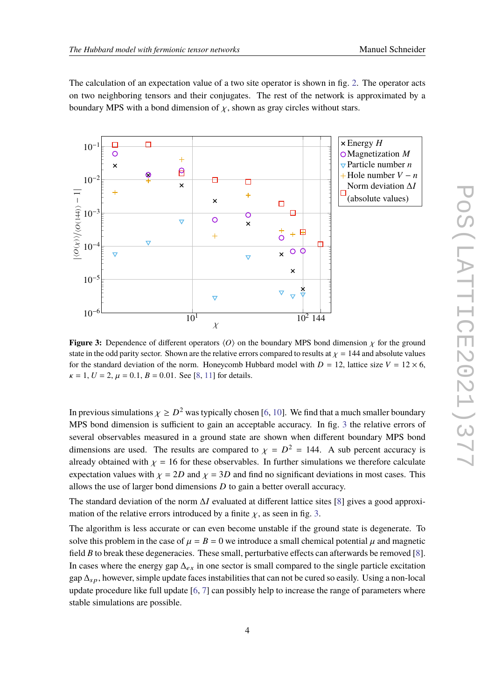The calculation of an expectation value of a two site operator is shown in fig. [2.](#page-2-0) The operator acts on two neighboring tensors and their conjugates. The rest of the network is approximated by a boundary MPS with a bond dimension of  $\chi$ , shown as gray circles without stars.

<span id="page-3-0"></span>

**Figure 3:** Dependence of different operators  $\langle O \rangle$  on the boundary MPS bond dimension  $\chi$  for the ground state in the odd parity sector. Shown are the relative errors compared to results at  $\chi = 144$  and absolute values for the standard deviation of the norm. Honeycomb Hubbard model with  $D = 12$ , lattice size  $V = 12 \times 6$ ,  $\kappa = 1, U = 2, \mu = 0.1, B = 0.01$ . See [\[8,](#page-7-7) [11\]](#page-8-2) for details.

In previous simulations  $\chi \geq D^2$  was typically chosen [\[6,](#page-7-5) [10\]](#page-8-1). We find that a much smaller boundary MPS bond dimension is sufficient to gain an acceptable accuracy. In fig. [3](#page-3-0) the relative errors of several observables measured in a ground state are shown when different boundary MPS bond dimensions are used. The results are compared to  $\chi = D^2 = 144$ . A sub percent accuracy is already obtained with  $\chi = 16$  for these observables. In further simulations we therefore calculate expectation values with  $\chi = 2D$  and  $\chi = 3D$  and find no significant deviations in most cases. This allows the use of larger bond dimensions  $D$  to gain a better overall accuracy.

The standard deviation of the norm  $\Delta I$  evaluated at different lattice sites [\[8\]](#page-7-7) gives a good approximation of the relative errors introduced by a finite  $\chi$ , as seen in fig. [3.](#page-3-0)

The algorithm is less accurate or can even become unstable if the ground state is degenerate. To solve this problem in the case of  $\mu = B = 0$  we introduce a small chemical potential  $\mu$  and magnetic field  $B$  to break these degeneracies. These small, perturbative effects can afterwards be removed [\[8\]](#page-7-7). In cases where the energy gap  $\Delta_{ex}$  in one sector is small compared to the single particle excitation gap  $\Delta_{SD}$ , however, simple update faces instabilities that can not be cured so easily. Using a non-local update procedure like full update [\[6,](#page-7-5) [7\]](#page-7-6) can possibly help to increase the range of parameters where stable simulations are possible.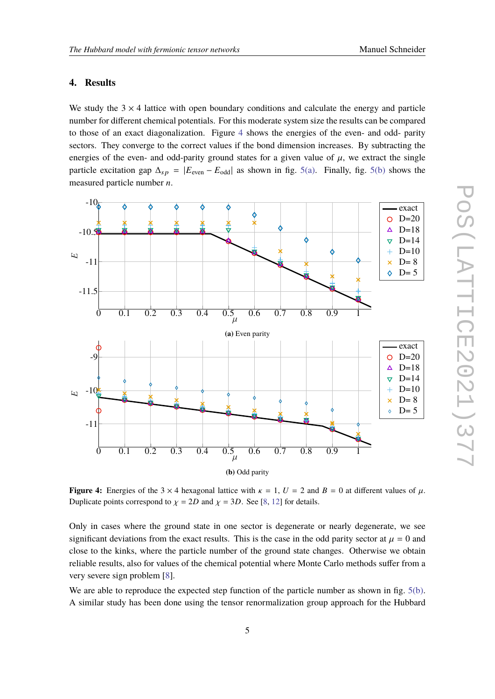#### **4. Results**

We study the  $3 \times 4$  lattice with open boundary conditions and calculate the energy and particle number for different chemical potentials. For this moderate system size the results can be compared to those of an exact diagonalization. Figure [4](#page-4-0) shows the energies of the even- and odd- parity sectors. They converge to the correct values if the bond dimension increases. By subtracting the energies of the even- and odd-parity ground states for a given value of  $\mu$ , we extract the single particle excitation gap  $\Delta_{sp} = |E_{even} - E_{odd}|$  as shown in fig. [5\(a\).](#page-5-0) Finally, fig. [5\(b\)](#page-5-0) shows the measured particle number  $n$ .

<span id="page-4-0"></span>

**Figure 4:** Energies of the 3  $\times$  4 hexagonal lattice with  $\kappa = 1$ ,  $U = 2$  and  $B = 0$  at different values of  $\mu$ . Duplicate points correspond to  $\chi = 2D$  and  $\chi = 3D$ . See [\[8,](#page-7-7) [12\]](#page-8-3) for details.

Only in cases where the ground state in one sector is degenerate or nearly degenerate, we see significant deviations from the exact results. This is the case in the odd parity sector at  $\mu = 0$  and close to the kinks, where the particle number of the ground state changes. Otherwise we obtain reliable results, also for values of the chemical potential where Monte Carlo methods suffer from a very severe sign problem [\[8\]](#page-7-7).

We are able to reproduce the expected step function of the particle number as shown in fig. [5\(b\).](#page-5-0) A similar study has been done using the tensor renormalization group approach for the Hubbard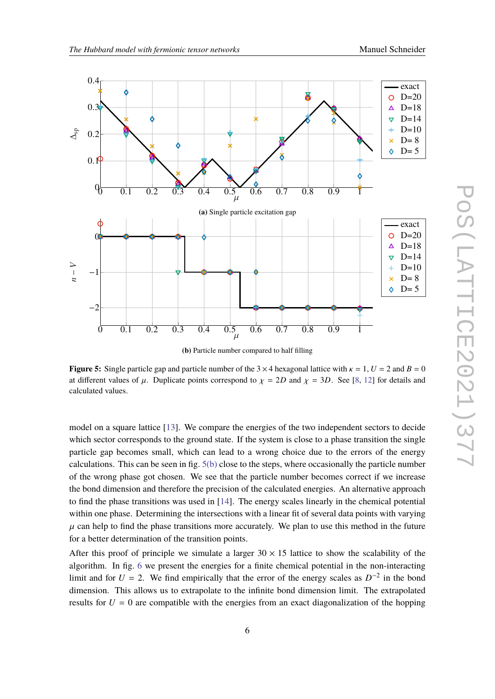<span id="page-5-0"></span>

**(b)** Particle number compared to half filling

**Figure 5:** Single particle gap and particle number of the  $3 \times 4$  hexagonal lattice with  $\kappa = 1$ ,  $U = 2$  and  $B = 0$ at different values of  $\mu$ . Duplicate points correspond to  $\chi = 2D$  and  $\chi = 3D$ . See [\[8,](#page-7-7) [12\]](#page-8-3) for details and calculated values.

model on a square lattice [\[13\]](#page-8-4). We compare the energies of the two independent sectors to decide which sector corresponds to the ground state. If the system is close to a phase transition the single particle gap becomes small, which can lead to a wrong choice due to the errors of the energy calculations. This can be seen in fig.  $5(b)$  close to the steps, where occasionally the particle number of the wrong phase got chosen. We see that the particle number becomes correct if we increase the bond dimension and therefore the precision of the calculated energies. An alternative approach to find the phase transitions was used in [\[14\]](#page-8-5). The energy scales linearly in the chemical potential within one phase. Determining the intersections with a linear fit of several data points with varying  $\mu$  can help to find the phase transitions more accurately. We plan to use this method in the future for a better determination of the transition points.

After this proof of principle we simulate a larger  $30 \times 15$  lattice to show the scalability of the algorithm. In fig. [6](#page-6-0) we present the energies for a finite chemical potential in the non-interacting limit and for  $U = 2$ . We find empirically that the error of the energy scales as  $D^{-2}$  in the bond dimension. This allows us to extrapolate to the infinite bond dimension limit. The extrapolated results for  $U = 0$  are compatible with the energies from an exact diagonalization of the hopping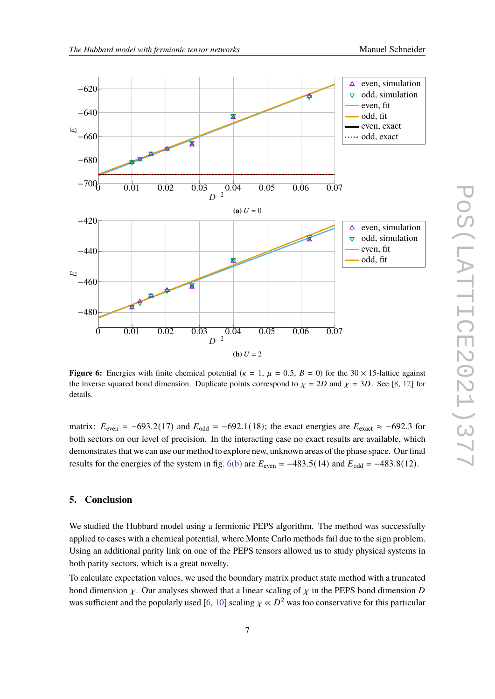<span id="page-6-0"></span>

**Figure 6:** Energies with finite chemical potential ( $\kappa = 1$ ,  $\mu = 0.5$ ,  $B = 0$ ) for the 30  $\times$  15-lattice against the inverse squared bond dimension. Duplicate points correspond to  $\chi = 2D$  and  $\chi = 3D$ . See [\[8,](#page-7-7) [12\]](#page-8-3) for details.

matrix:  $E_{\text{even}} = -693.2(17)$  and  $E_{\text{odd}} = -692.1(18)$ ; the exact energies are  $E_{\text{exact}} \approx -692.3$  for both sectors on our level of precision. In the interacting case no exact results are available, which demonstrates that we can use our method to explore new, unknown areas of the phase space. Our final results for the energies of the system in fig. [6\(b\)](#page-6-0) are  $E_{\text{even}} = -483.5(14)$  and  $E_{\text{odd}} = -483.8(12)$ .

## **5. Conclusion**

We studied the Hubbard model using a fermionic PEPS algorithm. The method was successfully applied to cases with a chemical potential, where Monte Carlo methods fail due to the sign problem. Using an additional parity link on one of the PEPS tensors allowed us to study physical systems in both parity sectors, which is a great novelty.

To calculate expectation values, we used the boundary matrix product state method with a truncated bond dimension  $\chi$ . Our analyses showed that a linear scaling of  $\chi$  in the PEPS bond dimension D was sufficient and the popularly used [\[6,](#page-7-5) [10\]](#page-8-1) scaling  $\chi \propto D^2$  was too conservative for this particular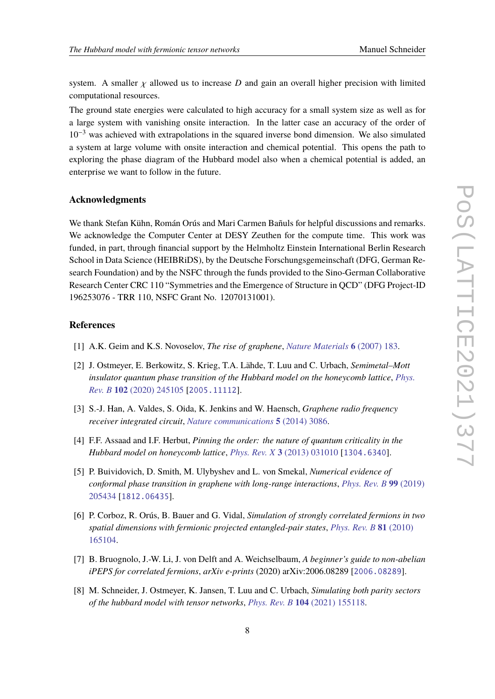system. A smaller  $\chi$  allowed us to increase D and gain an overall higher precision with limited computational resources.

The ground state energies were calculated to high accuracy for a small system size as well as for a large system with vanishing onsite interaction. In the latter case an accuracy of the order of  $10^{-3}$  was achieved with extrapolations in the squared inverse bond dimension. We also simulated a system at large volume with onsite interaction and chemical potential. This opens the path to exploring the phase diagram of the Hubbard model also when a chemical potential is added, an enterprise we want to follow in the future.

#### **Acknowledgments**

We thank Stefan Kühn, Román Orús and Mari Carmen Bañuls for helpful discussions and remarks. We acknowledge the Computer Center at DESY Zeuthen for the compute time. This work was funded, in part, through financial support by the Helmholtz Einstein International Berlin Research School in Data Science (HEIBRiDS), by the Deutsche Forschungsgemeinschaft (DFG, German Research Foundation) and by the NSFC through the funds provided to the Sino-German Collaborative Research Center CRC 110 "Symmetries and the Emergence of Structure in QCD" (DFG Project-ID 196253076 - TRR 110, NSFC Grant No. 12070131001).

#### **References**

- <span id="page-7-0"></span>[1] A.K. Geim and K.S. Novoselov, *The rise of graphene*, *[Nature Materials](https://doi.org/10.1038/nmat1849)* **6** (2007) 183.
- <span id="page-7-1"></span>[2] J. Ostmeyer, E. Berkowitz, S. Krieg, T.A. Lähde, T. Luu and C. Urbach, *Semimetal–Mott insulator quantum phase transition of the Hubbard model on the honeycomb lattice*, *[Phys.](https://doi.org/10.1103/PhysRevB.102.245105) Rev. B* **102** [\(2020\) 245105](https://doi.org/10.1103/PhysRevB.102.245105) [[2005.11112](https://arxiv.org/abs/2005.11112)].
- <span id="page-7-2"></span>[3] S.-J. Han, A. Valdes, S. Oida, K. Jenkins and W. Haensch, *Graphene radio frequency receiver integrated circuit*, *[Nature communications](https://doi.org/10.1038/ncomms4086)* **5** (2014) 3086.
- <span id="page-7-3"></span>[4] F.F. Assaad and I.F. Herbut, *Pinning the order: the nature of quantum criticality in the Hubbard model on honeycomb lattice*, *Phys. Rev. X* **3** [\(2013\) 031010](https://doi.org/10.1103/PhysRevX.3.031010) [[1304.6340](https://arxiv.org/abs/1304.6340)].
- <span id="page-7-4"></span>[5] P. Buividovich, D. Smith, M. Ulybyshev and L. von Smekal, *Numerical evidence of conformal phase transition in graphene with long-range interactions*, *[Phys. Rev. B](https://doi.org/10.1103/PhysRevB.99.205434)* **99** (2019) [205434](https://doi.org/10.1103/PhysRevB.99.205434) [[1812.06435](https://arxiv.org/abs/1812.06435)].
- <span id="page-7-5"></span>[6] P. Corboz, R. Orús, B. Bauer and G. Vidal, *Simulation of strongly correlated fermions in two spatial dimensions with fermionic projected entangled-pair states*, *[Phys. Rev. B](https://doi.org/10.1103/PhysRevB.81.165104)* **81** (2010) [165104.](https://doi.org/10.1103/PhysRevB.81.165104)
- <span id="page-7-6"></span>[7] B. Bruognolo, J.-W. Li, J. von Delft and A. Weichselbaum, *A beginner's guide to non-abelian iPEPS for correlated fermions*, *arXiv e-prints* (2020) arXiv:2006.08289 [[2006.08289](https://arxiv.org/abs/2006.08289)].
- <span id="page-7-7"></span>[8] M. Schneider, J. Ostmeyer, K. Jansen, T. Luu and C. Urbach, *Simulating both parity sectors of the hubbard model with tensor networks*, *Phys. Rev. B* **104** [\(2021\) 155118.](https://doi.org/10.1103/PhysRevB.104.155118)